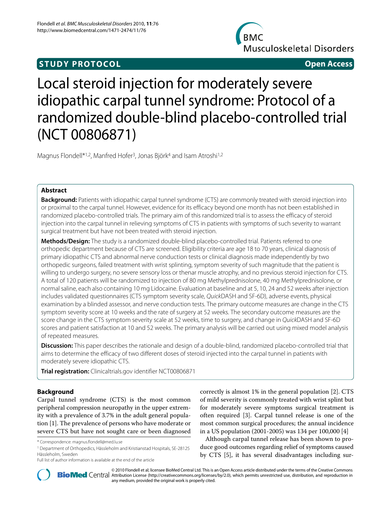# **STUDY PROTOCOL Open Access**



# Local steroid injection for moderately severe idiopathic carpal tunnel syndrome: Protocol of a randomized double-blind placebo-controlled trial (NCT 00806871)

Magnus Flondell<sup>\*1,2</sup>, Manfred Hofer<sup>3</sup>, Jonas Björk<sup>4</sup> and Isam Atroshi<sup>1,2</sup>

# **Abstract**

**Background:** Patients with idiopathic carpal tunnel syndrome (CTS) are commonly treated with steroid injection into or proximal to the carpal tunnel. However, evidence for its efficacy beyond one month has not been established in randomized placebo-controlled trials. The primary aim of this randomized trial is to assess the efficacy of steroid injection into the carpal tunnel in relieving symptoms of CTS in patients with symptoms of such severity to warrant surgical treatment but have not been treated with steroid injection.

**Methods/Design:** The study is a randomized double-blind placebo-controlled trial. Patients referred to one orthopedic department because of CTS are screened. Eligibility criteria are age 18 to 70 years, clinical diagnosis of primary idiopathic CTS and abnormal nerve conduction tests or clinical diagnosis made independently by two orthopedic surgeons, failed treatment with wrist splinting, symptom severity of such magnitude that the patient is willing to undergo surgery, no severe sensory loss or thenar muscle atrophy, and no previous steroid injection for CTS. A total of 120 patients will be randomized to injection of 80 mg Methylprednisolone, 40 mg Methylprednisolone, or normal saline, each also containing 10 mg Lidocaine. Evaluation at baseline and at 5, 10, 24 and 52 weeks after injection includes validated questionnaires (CTS symptom severity scale, QuickDASH and SF-6D), adverse events, physical examination by a blinded assessor, and nerve conduction tests. The primary outcome measures are change in the CTS symptom severity score at 10 weeks and the rate of surgery at 52 weeks. The secondary outcome measures are the score change in the CTS symptom severity scale at 52 weeks, time to surgery, and change in QuickDASH and SF-6D scores and patient satisfaction at 10 and 52 weeks. The primary analysis will be carried out using mixed model analysis of repeated measures.

**Discussion:** This paper describes the rationale and design of a double-blind, randomized placebo-controlled trial that aims to determine the efficacy of two different doses of steroid injected into the carpal tunnel in patients with moderately severe idiopathic CTS.

**Trial registration:** Clinicaltrials.gov identifier NCT00806871

# **Background**

Carpal tunnel syndrome (CTS) is the most common peripheral compression neuropathy in the upper extremity with a prevalence of 3.7% in the adult general population [[1](#page-6-0)]. The prevalence of persons who have moderate or severe CTS but have not sought care or been diagnosed

1 Department of Orthopedics, Hässleholm and Kristianstad Hospitals, SE-28125 Hässleholm, Sweden

Full list of author information is available at the end of the article

correctly is almost 1% in the general population [\[2](#page-6-1)]. CTS of mild severity is commonly treated with wrist splint but for moderately severe symptoms surgical treatment is often required [\[3\]](#page-6-2). Carpal tunnel release is one of the most common surgical procedures; the annual incidence in a US population (2001-2005) was 134 per 100,000 [[4\]](#page-6-3)

Although carpal tunnel release has been shown to produce good outcomes regarding relief of symptoms caused by CTS [\[5](#page-6-4)], it has several disadvantages including sur-



2010 Flondell et al; licensee [BioMed](http://www.biomedcentral.com/) Central Ltd. This is an Open Access article distributed under the terms of the Creative Commons (http://creativecommons.org/licenses/by/2.0), which permits unrestricted use, distributio any medium, provided the original work is properly cited.

<sup>\*</sup> Correspondence: magnus.flondell@med.lu.se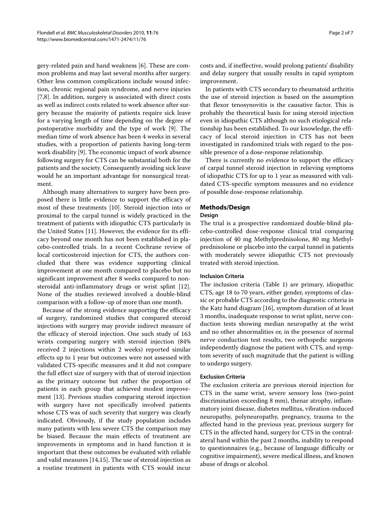gery-related pain and hand weakness [\[6](#page-6-5)]. These are common problems and may last several months after surgery. Other less common complications include wound infection, chronic regional pain syndrome, and nerve injuries [[7,](#page-6-6)[8\]](#page-6-7). In addition, surgery is associated with direct costs as well as indirect costs related to work absence after surgery because the majority of patients require sick leave for a varying length of time depending on the degree of postoperative morbidity and the type of work [[9\]](#page-6-8). The median time of work absence has been 4 weeks in several studies, with a proportion of patients having long-term work disability [[9\]](#page-6-8). The economic impact of work absence following surgery for CTS can be substantial both for the patients and the society. Consequently avoiding sick leave would be an important advantage for nonsurgical treatment.

Although many alternatives to surgery have been proposed there is little evidence to support the efficacy of most of these treatments [\[10](#page-6-9)]. Steroid injection into or proximal to the carpal tunnel is widely practiced in the treatment of patients with idiopathic CTS particularly in the United States [\[11](#page-6-10)]. However, the evidence for its efficacy beyond one month has not been established in placebo-controlled trials. In a recent Cochrane review of local corticosteroid injection for CTS, the authors concluded that there was evidence supporting clinical improvement at one month compared to placebo but no significant improvement after 8 weeks compared to nonsteroidal anti-inflammatory drugs or wrist splint [\[12](#page-6-11)]. None of the studies reviewed involved a double-blind comparison with a follow-up of more than one month.

Because of the strong evidence supporting the efficacy of surgery, randomized studies that compared steroid injections with surgery may provide indirect measure of the efficacy of steroid injection. One such study of 163 wrists comparing surgery with steroid injection (84% received 2 injections within 2 weeks) reported similar effects up to 1 year but outcomes were not assessed with validated CTS-specific measures and it did not compare the full effect size of surgery with that of steroid injection as the primary outcome but rather the proportion of patients in each group that achieved modest improvement [[13\]](#page-6-12). Previous studies comparing steroid injection with surgery have not specifically involved patients whose CTS was of such severity that surgery was clearly indicated. Obviously, if the study population includes many patients with less severe CTS the comparison may be biased. Because the main effects of treatment are improvements in symptoms and in hand function it is important that these outcomes be evaluated with reliable and valid measures [[14](#page-6-13),[15](#page-6-14)]. The use of steroid injection as a routine treatment in patients with CTS would incur

costs and, if ineffective, would prolong patients' disability and delay surgery that usually results in rapid symptom improvement.

In patients with CTS secondary to rheumatoid arthritis the use of steroid injection is based on the assumption that flexor tenosynovitis is the causative factor. This is probably the theoretical basis for using steroid injection even in idiopathic CTS although no such etiological relationship has been established. To our knowledge, the efficacy of local steroid injection in CTS has not been investigated in randomized trials with regard to the possible presence of a dose-response relationship.

There is currently no evidence to support the efficacy of carpal tunnel steroid injection in relieving symptoms of idiopathic CTS for up to 1 year as measured with validated CTS-specific symptom measures and no evidence of possible dose-response relationship.

# **Methods/Design**

#### **Design**

The trial is a prospective randomized double-blind placebo-controlled dose-response clinical trial comparing injection of 40 mg Methylprednisolone, 80 mg Methylprednisolone or placebo into the carpal tunnel in patients with moderately severe idiopathic CTS not previously treated with steroid injection.

# **Inclusion Criteria**

The inclusion criteria (Table 1) are primary, idiopathic CTS, age 18 to 70 years, either gender, symptoms of classic or probable CTS according to the diagnostic criteria in the Katz hand diagram [\[16](#page-6-15)], symptom duration of at least 3 months, inadequate response to wrist splint, nerve conduction tests showing median neuropathy at the wrist and no other abnormalities or, in the presence of normal nerve conduction test results, two orthopedic surgeons independently diagnose the patient with CTS, and symptom severity of such magnitude that the patient is willing to undergo surgery.

#### **Exclusion Criteria**

The exclusion criteria are previous steroid injection for CTS in the same wrist, severe sensory loss (two-point discrimination exceeding 8 mm), thenar atrophy, inflammatory joint disease, diabetes mellitus, vibration-induced neuropathy, polyneuropathy, pregnancy, trauma to the affected hand in the previous year, previous surgery for CTS in the affected hand, surgery for CTS in the contralateral hand within the past 2 months, inability to respond to questionnaires (e.g., because of language difficulty or cognitive impairment), severe medical illness, and known abuse of drugs or alcohol.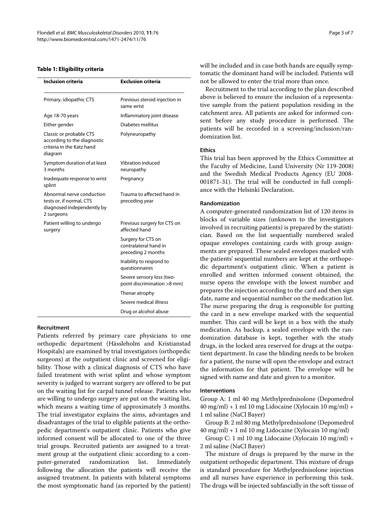#### **Table 1: Eligibility criteria**

| <b>Inclusion criteria</b>                                                                         | <b>Exclusion criteria</b>                                         |  |  |  |
|---------------------------------------------------------------------------------------------------|-------------------------------------------------------------------|--|--|--|
| Primary, idiopathic CTS                                                                           | Previous steroid injection in<br>same wrist                       |  |  |  |
| Age 18-70 years                                                                                   | Inflammatory joint disease                                        |  |  |  |
| Either gender                                                                                     | Diabetes mellitus                                                 |  |  |  |
| Classic or probable CTS<br>according to the diagnostic<br>criteria in the Katz hand<br>diagram    | Polyneuropathy                                                    |  |  |  |
| Symptom duration of at least<br>3 months                                                          | Vibration induced<br>neuropathy                                   |  |  |  |
| Inadequate response to wrist<br>splint                                                            | Pregnancy                                                         |  |  |  |
| Abnormal nerve conduction<br>tests or, if normal, CTS<br>diagnosed independently by<br>2 surgeons | Trauma to affected hand in<br>preceding year                      |  |  |  |
| Patient willing to undergo<br>surgery                                                             | Previous surgery for CTS on<br>affected hand                      |  |  |  |
|                                                                                                   | Surgery for CTS on<br>contralateral hand in<br>preceding 2 months |  |  |  |
|                                                                                                   | Inability to respond to<br>questionnaires                         |  |  |  |
|                                                                                                   | Severe sensory loss (two-<br>point discrimination >8 mm)          |  |  |  |
|                                                                                                   | Thenar atrophy                                                    |  |  |  |
|                                                                                                   | Severe medical illness                                            |  |  |  |
|                                                                                                   | Drug or alcohol abuse                                             |  |  |  |

#### **Recruitment**

Patients referred by primary care physicians to one orthopedic department (Hässleholm and Kristianstad Hospitals) are examined by trial investigators (orthopedic surgeons) at the outpatient clinic and screened for eligibility. Those with a clinical diagnosis of CTS who have failed treatment with wrist splint and whose symptom severity is judged to warrant surgery are offered to be put on the waiting list for carpal tunnel release. Patients who are willing to undergo surgery are put on the waiting list, which means a waiting time of approximately 3 months. The trial investigator explains the aims, advantages and disadvantages of the trial to eligible patients at the orthopedic department's outpatient clinic. Patients who give informed consent will be allocated to one of the three trial groups. Recruited patients are assigned to a treatment group at the outpatient clinic according to a computer-generated randomization list. Immediately following the allocation the patients will receive the assigned treatment. In patients with bilateral symptoms the most symptomatic hand (as reported by the patient) will be included and in case both hands are equally symptomatic the dominant hand will be included. Patients will not be allowed to enter the trial more than once.

Recruitment to the trial according to the plan described above is believed to ensure the inclusion of a representative sample from the patient population residing in the catchment area. All patients are asked for informed consent before any study procedure is performed. The patients will be recorded in a screening/inclusion/randomization list.

# **Ethics**

This trial has been approved by the Ethics Committee at the Faculty of Medicine, Lund University (Nr 119-2008) and the Swedish Medical Products Agency (EU 2008- 001871-31). The trial will be conducted in full compliance with the Helsinki Declaration.

#### **Randomization**

A computer-generated randomization list of 120 items in blocks of variable sizes (unknown to the investigators involved in recruiting patients) is prepared by the statistician. Based on the list sequentially numbered sealed opaque envelopes containing cards with group assignments are prepared. These sealed envelopes marked with the patients' sequential numbers are kept at the orthopedic department's outpatient clinic. When a patient is enrolled and written informed consent obtained, the nurse opens the envelope with the lowest number and prepares the injection according to the card and then sign date, name and sequential number on the medication list. The nurse preparing the drug is responsible for putting the card in a new envelope marked with the sequential number. This card will be kept in a box with the study medication. As backup, a sealed envelope with the randomization database is kept, together with the study drugs, in the locked area reserved for drugs at the outpatient department. In case the blinding needs to be broken for a patient, the nurse will open the envelope and extract the information for that patient. The envelope will be signed with name and date and given to a monitor.

#### **Interventions**

Group A: 1 ml 40 mg Methylprednisolone (Depomedrol  $40 \text{ mg/ml}$  + 1 ml 10 mg Lidocaine (Xylocain 10 mg/ml) + 1 ml saline (NaCl Bayer)

Group B: 2 ml 80 mg Methylprednisolone (Depomedrol 40 mg/ml) + 1 ml 10 mg Lidocaine (Xylocain 10 mg/ml)

Group C: 1 ml 10 mg Lidocaine (Xylocain 10 mg/ml) + 2 ml saline (NaCl Bayer)

The mixture of drugs is prepared by the nurse in the outpatient orthopedic department. This mixture of drugs is standard procedure for Methylprednisolone injection and all nurses have experience in performing this task. The drugs will be injected subfascially in the soft tissue of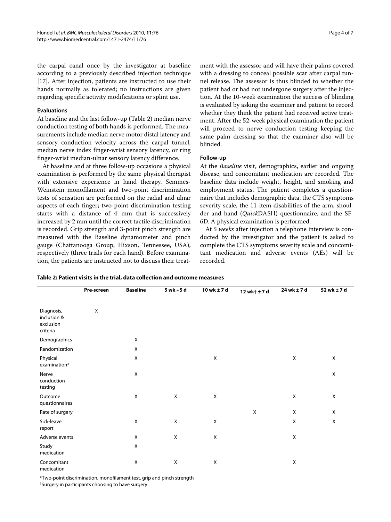the carpal canal once by the investigator at baseline according to a previously described injection technique [[17\]](#page-6-16). After injection, patients are instructed to use their hands normally as tolerated; no instructions are given regarding specific activity modifications or splint use.

#### **Evaluations**

At baseline and the last follow-up (Table 2) median nerve conduction testing of both hands is performed. The measurements include median nerve motor distal latency and sensory conduction velocity across the carpal tunnel, median nerve index finger-wrist sensory latency, or ring finger-wrist median-ulnar sensory latency difference.

At baseline and at three follow-up occasions a physical examination is performed by the same physical therapist with extensive experience in hand therapy. Semmes-Weinstein monofilament and two-point discrimination tests of sensation are performed on the radial and ulnar aspects of each finger; two-point discrimination testing starts with a distance of 4 mm that is successively increased by 2 mm until the correct tactile discrimination is recorded. Grip strength and 3-point pinch strength are measured with the Baseline dynamometer and pinch gauge (Chattanooga Group, Hixson, Tennessee, USA), respectively (three trials for each hand). Before examination, the patients are instructed not to discuss their treat-

ment with the assessor and will have their palms covered with a dressing to conceal possible scar after carpal tunnel release. The assessor is thus blinded to whether the patient had or had not undergone surgery after the injection. At the 10-week examination the success of blinding is evaluated by asking the examiner and patient to record whether they think the patient had received active treatment. After the 52-week physical examination the patient will proceed to nerve conduction testing keeping the same palm dressing so that the examiner also will be blinded.

## **Follow-up**

At the *Baseline* visit, demographics, earlier and ongoing disease, and concomitant medication are recorded. The baseline data include weight, height, and smoking and employment status. The patient completes a questionnaire that includes demographic data, the CTS symptoms severity scale, the 11-item disabilities of the arm, shoulder and hand (*Quick*DASH) questionnaire, and the SF-6D. A physical examination is performed.

At *5 weeks* after injection a telephone interview is conducted by the investigator and the patient is asked to complete the CTS symptoms severity scale and concomitant medication and adverse events (AEs) will be recorded.

|                                                    | Pre-screen   | <b>Baseline</b> | 5 wk +5 d | 10 wk $\pm$ 7 d | $12$ wkt $\pm$ 7 d | $24$ wk $\pm$ 7 d | 52 wk $\pm$ 7 d    |
|----------------------------------------------------|--------------|-----------------|-----------|-----------------|--------------------|-------------------|--------------------|
| Diagnosis,<br>inclusion &<br>exclusion<br>criteria | $\mathsf{X}$ |                 |           |                 |                    |                   |                    |
| Demographics                                       |              | X               |           |                 |                    |                   |                    |
| Randomization                                      |              | X               |           |                 |                    |                   |                    |
| Physical<br>examination*                           |              | X               |           | X               |                    | X                 | X                  |
| Nerve<br>conduction<br>testing                     |              | $\mathsf X$     |           |                 |                    |                   | Χ                  |
| Outcome<br>questionnaires                          |              | $\pmb{\times}$  | X         | X               |                    | X                 | $\pmb{\mathsf{X}}$ |
| Rate of surgery                                    |              |                 |           |                 | X                  | X                 | X                  |
| Sick-leave<br>report                               |              | X               | X         | Χ               |                    | X                 | X                  |
| Adverse events                                     |              | X               | X         | X               |                    | X                 |                    |
| Study<br>medication                                |              | X               |           |                 |                    |                   |                    |
| Concomitant<br>medication                          |              | X               | X         | X               |                    | X                 |                    |

\*Two-point discrimination, monofilament test, grip and pinch strength

†Surgery in participants choosing to have surgery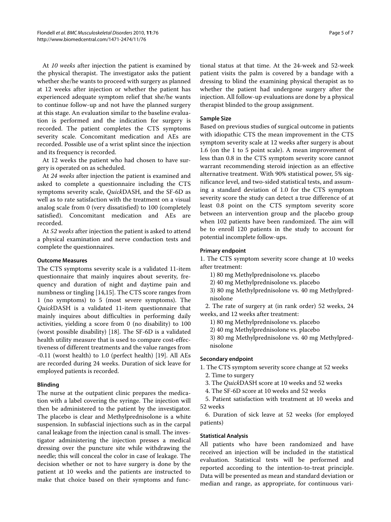At *10 weeks* after injection the patient is examined by the physical therapist. The investigator asks the patient whether she/he wants to proceed with surgery as planned at 12 weeks after injection or whether the patient has experienced adequate symptom relief that she/he wants to continue follow-up and not have the planned surgery at this stage. An evaluation similar to the baseline evaluation is performed and the indication for surgery is recorded. The patient completes the CTS symptoms severity scale. Concomitant medication and AEs are recorded. Possible use of a wrist splint since the injection and its frequency is recorded.

At 12 weeks the patient who had chosen to have surgery is operated on as scheduled.

At *24 weeks* after injection the patient is examined and asked to complete a questionnaire including the CTS symptoms severity scale, *Quick*DASH, and the SF-6D as well as to rate satisfaction with the treatment on a visual analog scale from 0 (very dissatisfied) to 100 (completely satisfied). Concomitant medication and AEs are recorded.

At *52 weeks* after injection the patient is asked to attend a physical examination and nerve conduction tests and complete the questionnaires.

#### **Outcome Measures**

The CTS symptoms severity scale is a validated 11-item questionnaire that mainly inquires about severity, frequency and duration of night and daytime pain and numbness or tingling [[14,](#page-6-13)[15\]](#page-6-14). The CTS score ranges from 1 (no symptoms) to 5 (most severe symptoms). The *Quick*DASH is a validated 11-item questionnaire that mainly inquires about difficulties in performing daily activities, yielding a score from 0 (no disability) to 100 (worst possible disability) [[18\]](#page-6-17). The SF-6D is a validated health utility measure that is used to compare cost-effectiveness of different treatments and the value ranges from -0.11 (worst health) to 1.0 (perfect health) [[19\]](#page-6-18). All AEs are recorded during 24 weeks. Duration of sick leave for employed patients is recorded.

#### **Blinding**

The nurse at the outpatient clinic prepares the medication with a label covering the syringe. The injection will then be administered to the patient by the investigator. The placebo is clear and Methylprednisolone is a white suspension. In subfascial injections such as in the carpal canal leakage from the injection canal is small. The investigator administering the injection presses a medical dressing over the puncture site while withdrawing the needle; this will conceal the color in case of leakage. The decision whether or not to have surgery is done by the patient at 10 weeks and the patients are instructed to make that choice based on their symptoms and functional status at that time. At the 24-week and 52-week patient visits the palm is covered by a bandage with a dressing to blind the examining physical therapist as to whether the patient had undergone surgery after the injection. All follow-up evaluations are done by a physical therapist blinded to the group assignment.

# **Sample Size**

Based on previous studies of surgical outcome in patients with idiopathic CTS the mean improvement in the CTS symptom severity scale at 12 weeks after surgery is about 1.6 (on the 1 to 5 point scale). A mean improvement of less than 0.8 in the CTS symptom severity score cannot warrant recommending steroid injection as an effective alternative treatment. With 90% statistical power, 5% significance level, and two-sided statistical tests, and assuming a standard deviation of 1.0 for the CTS symptom severity score the study can detect a true difference of at least 0.8 point on the CTS symptom severity score between an intervention group and the placebo group when 102 patients have been randomized. The aim will be to enroll 120 patients in the study to account for potential incomplete follow-ups.

## **Primary endpoint**

1. The CTS symptom severity score change at 10 weeks after treatment:

- 1) 80 mg Methylprednisolone vs. placebo
- 2) 40 mg Methylprednisolone vs. placebo
- 3) 80 mg Methylprednisolone vs. 40 mg Methylprednisolone

2. The rate of surgery at (in rank order) 52 weeks, 24 weeks, and 12 weeks after treatment:

1) 80 mg Methylprednisolone vs. placebo

2) 40 mg Methylprednisolone vs. placebo

3) 80 mg Methylprednisolone vs. 40 mg Methylprednisolone

#### **Secondary endpoint**

1. The CTS symptom severity score change at 52 weeks 2. Time to surgery

3. The *Quick*DASH score at 10 weeks and 52 weeks

4. The SF-6D score at 10 weeks and 52 weeks

5. Patient satisfaction with treatment at 10 weeks and 52 weeks

6. Duration of sick leave at 52 weeks (for employed patients)

# **Statistical Analysis**

All patients who have been randomized and have received an injection will be included in the statistical evaluation. Statistical tests will be performed and reported according to the intention-to-treat principle. Data will be presented as mean and standard deviation or median and range, as appropriate, for continuous vari-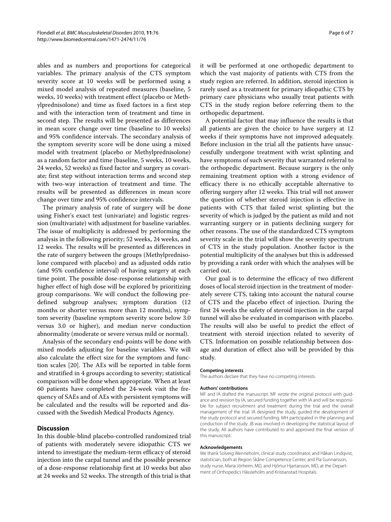ables and as numbers and proportions for categorical variables. The primary analysis of the CTS symptom severity score at 10 weeks will be performed using a mixed model analysis of repeated measures (baseline, 5 weeks, 10 weeks) with treatment effect (placebo or Methylprednisolone) and time as fixed factors in a first step and with the interaction term of treatment and time in second step. The results will be presented as differences in mean score change over time (baseline to 10 weeks) and 95% confidence intervals. The secondary analysis of the symptom severity score will be done using a mixed model with treatment (placebo or Methylprednisolone) as a random factor and time (baseline, 5 weeks, 10 weeks, 24 weeks, 52 weeks) as fixed factor and surgery as covariate; first step without interaction terms and second step with two-way interaction of treatment and time. The results will be presented as differences in mean score change over time and 95% confidence intervals.

The primary analysis of rate of surgery will be done using Fisher's exact test (univariate) and logistic regression (multivariate) with adjustment for baseline variables. The issue of multiplicity is addressed by performing the analysis in the following priority; 52 weeks, 24 weeks, and 12 weeks. The results will be presented as differences in the rate of surgery between the groups (Methylprednisolone compared with placebo) and as adjusted odds ratio (and 95% confidence interval) of having surgery at each time point. The possible dose-response relationship with higher effect of high dose will be explored by prioritizing group comparisons. We will conduct the following predefined subgroup analyses; symptom duration (12 months or shorter versus more than 12 months), symptom severity (baseline symptom severity score below 3.0 versus 3.0 or higher), and median nerve conduction abnormality (moderate or severe versus mild or normal).

Analysis of the secondary end-points will be done with mixed models adjusting for baseline variables. We will also calculate the effect size for the symptom and function scales [[20\]](#page-6-19). The AEs will be reported in table form and stratified in 4 groups according to severity; statistical comparison will be done when appropriate. When at least 60 patients have completed the 24-week visit the frequency of SAEs and of AEs with persistent symptoms will be calculated and the results will be reported and discussed with the Swedish Medical Products Agency.

# **Discussion**

In this double-blind placebo-controlled randomized trial of patients with moderately severe idiopathic CTS we intend to investigate the medium-term efficacy of steroid injection into the carpal tunnel and the possible presence of a dose-response relationship first at 10 weeks but also at 24 weeks and 52 weeks. The strength of this trial is that it will be performed at one orthopedic department to which the vast majority of patients with CTS from the study region are referred. In addition, steroid injection is rarely used as a treatment for primary idiopathic CTS by primary care physicians who usually treat patients with CTS in the study region before referring them to the orthopedic department.

A potential factor that may influence the results is that all patients are given the choice to have surgery at 12 weeks if their symptoms have not improved adequately. Before inclusion in the trial all the patients have unsuccessfully undergone treatment with wrist splinting and have symptoms of such severity that warranted referral to the orthopedic department. Because surgery is the only remaining treatment option with a strong evidence of efficacy there is no ethically acceptable alternative to offering surgery after 12 weeks. This trial will not answer the question of whether steroid injection is effective in patients with CTS that failed wrist splinting but the severity of which is judged by the patient as mild and not warranting surgery or in patients declining surgery for other reasons. The use of the standardized CTS symptom severity scale in the trial will show the severity spectrum of CTS in the study population. Another factor is the potential multiplicity of the analyses but this is addressed by providing a rank order with which the analyses will be carried out.

Our goal is to determine the efficacy of two different doses of local steroid injection in the treatment of moderately severe CTS, taking into account the natural course of CTS and the placebo effect of injection. During the first 24 weeks the safety of steroid injection in the carpal tunnel will also be evaluated in comparison with placebo. The results will also be useful to predict the effect of treatment with steroid injection related to severity of CTS. Information on possible relationship between dosage and duration of effect also will be provided by this study.

#### **Competing interests**

The authors declare that they have no competing interests.

#### **Authors' contributions**

MF and IA drafted the manuscript. MF wrote the original protocol with guidance and revision by IA, secured funding together with IA and will be responsible for subject recruitment and treatment during the trial and the overall management of the trial. IA designed the study, guided the development of the study protocol and secured funding. MH participated in the planning and conduction of the study. JB was involved in developing the statistical layout of the study. All authors have contributed to and approved the final version of this manuscript.

#### **Acknowledgements**

We thank Solveig Wenneholm, clinical study coordinator, and Håkan Lindqvist, statistician, both at Region Skåne Competence Center, and Pia Gunnarsson, study nurse, Maria Jörheim, MD, and Hjörtur Hjartarsson, MD, at the Department of Orthopedics Hässleholm and Kristianstad Hospitals.